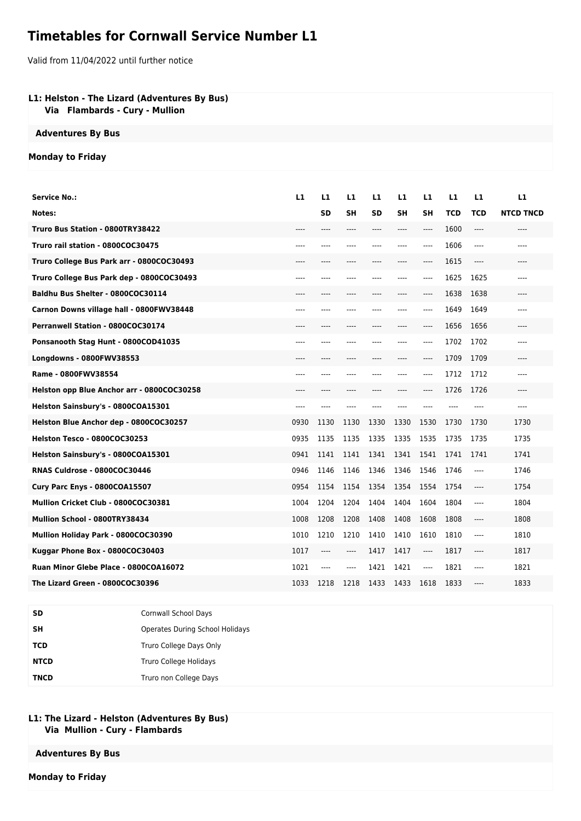# **Timetables for Cornwall Service Number L1**

Valid from 11/04/2022 until further notice

### **L1: Helston - The Lizard (Adventures By Bus)**

 **Via Flambards - Cury - Mullion**

#### **Adventures By Bus**

#### **Monday to Friday**

| <b>Service No.:</b>                        | L1    | L1   | L1        | L1    | L1        | L1    | L1    | L1         | L1               |
|--------------------------------------------|-------|------|-----------|-------|-----------|-------|-------|------------|------------------|
| Notes:                                     |       | SD   | <b>SH</b> | SD    | <b>SH</b> | SΗ    | TCD   | <b>TCD</b> | <b>NTCD TNCD</b> |
| Truro Bus Station - 0800TRY38422           | ----  | ---- | ----      | ----  | ----      | $---$ | 1600  | ----       | ----             |
| Truro rail station - 0800COC30475          | $---$ | ---- | ----      | ----  | ----      | $---$ | 1606  | $---$      | ----             |
| Truro College Bus Park arr - 0800COC30493  | $---$ | ---- | ----      | $---$ | ----      | ----  | 1615  | ----       | ----             |
| Truro College Bus Park dep - 0800COC30493  | ----  | ---- |           |       | ----      | ----  | 1625  | 1625       | ----             |
| Baldhu Bus Shelter - 0800COC30114          |       | ---- | ----      |       | ----      | ----  | 1638  | 1638       | ----             |
| Carnon Downs village hall - 0800FWV38448   | ----  | ---- | ----      | ----  | ----      | ----  | 1649  | 1649       | ----             |
| Perranwell Station - 0800COC30174          |       |      |           |       |           | $---$ | 1656  | 1656       |                  |
| Ponsanooth Stag Hunt - 0800COD41035        | $---$ | ---- | ----      | $---$ | ----      | ----  | 1702  | 1702       | $---$            |
| Longdowns - 0800FWV38553                   | $---$ | ---- | ----      | $---$ | ----      | $---$ | 1709  | 1709       | ----             |
| Rame - 0800FWV38554                        |       | ---- |           | ----  | ----      | $---$ | 1712  | 1712       | ----             |
| Helston opp Blue Anchor arr - 0800COC30258 | ----  | ---- | ----      | ----  | ----      | ----  | 1726  | 1726       | $---$            |
| Helston Sainsbury's - 0800COA15301         | $---$ | ---- | ----      | $---$ | ----      | $---$ | $---$ | $---$      | $---$            |
| Helston Blue Anchor dep - 0800COC30257     | 0930  | 1130 | 1130      | 1330  | 1330      | 1530  | 1730  | 1730       | 1730             |
| Helston Tesco - 0800COC30253               | 0935  | 1135 | 1135      | 1335  | 1335      | 1535  | 1735  | 1735       | 1735             |
| Helston Sainsbury's - 0800COA15301         | 0941  | 1141 | 1141      | 1341  | 1341      | 1541  | 1741  | 1741       | 1741             |
| RNAS Culdrose - 0800COC30446               | 0946  | 1146 | 1146      | 1346  | 1346      | 1546  | 1746  | $---$      | 1746             |
| Cury Parc Enys - 0800COA15507              | 0954  | 1154 | 1154      | 1354  | 1354      | 1554  | 1754  | ----       | 1754             |
| Mullion Cricket Club - 0800COC30381        | 1004  | 1204 | 1204      | 1404  | 1404      | 1604  | 1804  | $---$      | 1804             |
| Mullion School - 0800TRY38434              | 1008  | 1208 | 1208      | 1408  | 1408      | 1608  | 1808  | $---$      | 1808             |
| Mullion Holiday Park - 0800COC30390        | 1010  | 1210 | 1210      | 1410  | 1410      | 1610  | 1810  | $---$      | 1810             |
| Kuggar Phone Box - 0800COC30403            | 1017  | ---- | $---$     | 1417  | 1417      | $---$ | 1817  | $---$      | 1817             |
| Ruan Minor Glebe Place - 0800COA16072      | 1021  | ---- | ----      | 1421  | 1421      | $---$ | 1821  | $---$      | 1821             |
| The Lizard Green - 0800COC30396            | 1033  | 1218 | 1218      | 1433  | 1433      | 1618  | 1833  | ----       | 1833             |

| SD          | Cornwall School Days            |
|-------------|---------------------------------|
| SΗ          | Operates During School Holidays |
| TCD         | Truro College Days Only         |
| <b>NTCD</b> | Truro College Holidays          |
| <b>TNCD</b> | Truro non College Days          |

#### **L1: The Lizard - Helston (Adventures By Bus) Via Mullion - Cury - Flambards**

## **Adventures By Bus**

**Monday to Friday**